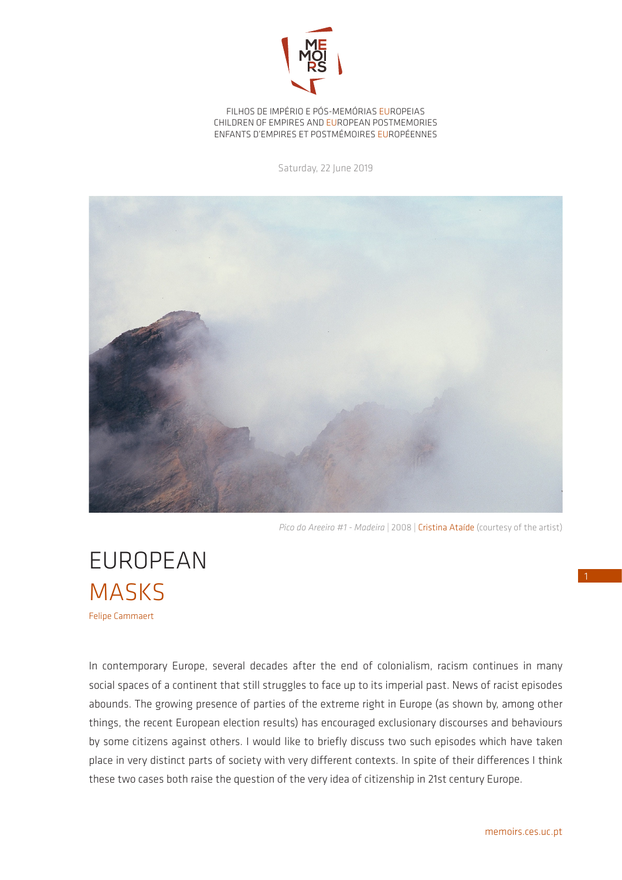

FILHOS DE IMPÉRIO E PÓS-MEMÓRIAS EUROPEIAS CHILDREN OF EMPIRES AND EUROPEAN POSTMEMORIES ENFANTS D'EMPIRES ET POSTMÉMOIRES EUROPÉENNES

Saturday, 22 June 2019



*Pico do Areeiro #1 - Madeira* | 2008 | Cristina Ataíde (courtesy of the artist)

EUROPEAN **MASKS** Felipe Cammaert

In contemporary Europe, several decades after the end of colonialism, racism continues in many social spaces of a continent that still struggles to face up to its imperial past. News of racist episodes abounds. The growing presence of parties of the extreme right in Europe (as shown by, among other things, the recent European election results) has encouraged exclusionary discourses and behaviours by some citizens against others. I would like to briefly discuss two such episodes which have taken place in very distinct parts of society with very different contexts. In spite of their differences I think these two cases both raise the question of the very idea of citizenship in 21st century Europe.

1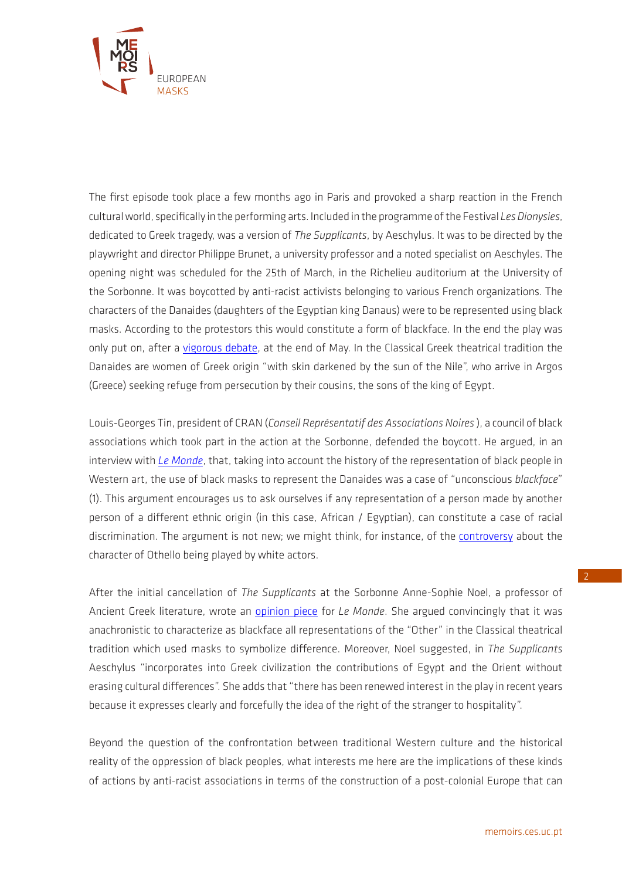

The first episode took place a few months ago in Paris and provoked a sharp reaction in the French cultural world, specifically in the performing arts. Included in the programme of the Festival *Les Dionysies*, dedicated to Greek tragedy, was a version of *The Supplicants*, by Aeschylus. It was to be directed by the playwright and director Philippe Brunet, a university professor and a noted specialist on Aeschyles. The opening night was scheduled for the 25th of March, in the Richelieu auditorium at the University of the Sorbonne. It was boycotted by anti-racist activists belonging to various French organizations. The characters of the Danaides (daughters of the Egyptian king Danaus) were to be represented using black masks. According to the protestors this would constitute a form of blackface. In the end the play was only put on, after a [vigorous debate,](https://vigilanceuniversites.files.wordpress.com/2019/05/brunet-philippe-figaro-tribune-2019-05-21-1.pdf) at the end of May. In the Classical Greek theatrical tradition the Danaides are women of Greek origin "with skin darkened by the sun of the Nile", who arrive in Argos (Greece) seeking refuge from persecution by their cousins, the sons of the king of Egypt.

Louis-Georges Tin, president of CRAN (*Conseil Représentatif des Associations Noires* ), a council of black associations which took part in the action at the Sorbonne, defended the boycott. He argued, in an interview with *[Le Monde](https://www.lemonde.fr/culture/article/2019/03/27/a-la-sorbonne-la-guerre-du-blackface-gagne-la-tragedie-grecque_5441663_3246.html)*, that, taking into account the history of the representation of black people in Western art, the use of black masks to represent the Danaides was a case of "unconscious *blackface*" (1). This argument encourages us to ask ourselves if any representation of a person made by another person of a different ethnic origin (in this case, African / Egyptian), can constitute a case of racial discrimination. The argument is not new; we might think, for instance, of the [controversy](https://www.lemonde.fr/afrique/article/2015/10/16/pas-de-noirs-sur-scene-le-theatre-francais-est-il-raciste_4791000_3212.html) about the character of Othello being played by white actors.

After the initial cancellation of *The Supplicants* at the Sorbonne Anne-Sophie Noel, a professor of Ancient Greek literature, wrote an [opinion piece](https://www.lemonde.fr/idees/article/2019/03/29/non-le-masque-grec-n-est-pas-un-blackface_5443329_3232.html) for *Le Monde*. She argued convincingly that it was anachronistic to characterize as blackface all representations of the "Other" in the Classical theatrical tradition which used masks to symbolize difference. Moreover, Noel suggested, in *The Supplicants* Aeschylus "incorporates into Greek civilization the contributions of Egypt and the Orient without erasing cultural differences". She adds that "there has been renewed interest in the play in recent years because it expresses clearly and forcefully the idea of the right of the stranger to hospitality".

Beyond the question of the confrontation between traditional Western culture and the historical reality of the oppression of black peoples, what interests me here are the implications of these kinds of actions by anti-racist associations in terms of the construction of a post-colonial Europe that can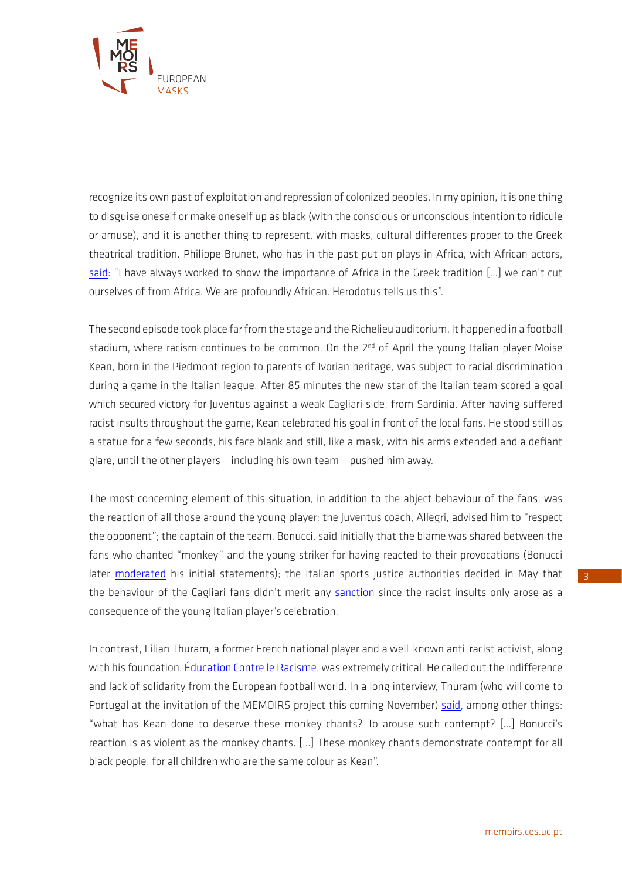

recognize its own past of exploitation and repression of colonized peoples. In my opinion, it is one thing to disguise oneself or make oneself up as black (with the conscious or unconscious intention to ridicule or amuse), and it is another thing to represent, with masks, cultural differences proper to the Greek theatrical tradition. Philippe Brunet, who has in the past put on plays in Africa, with African actors, [said](https://www.lemonde.fr/culture/article/2019/03/27/a-la-sorbonne-la-guerre-du-blackface-gagne-la-tragedie-grecque_5441663_3246.html): "I have always worked to show the importance of Africa in the Greek tradition […] we can't cut ourselves of from Africa. We are profoundly African. Herodotus tells us this".

The second episode took place far from the stage and the Richelieu auditorium. It happened in a football stadium, where racism continues to be common. On the 2<sup>nd</sup> of April the young Italian player Moise Kean, born in the Piedmont region to parents of Ivorian heritage, was subject to racial discrimination during a game in the Italian league. After 85 minutes the new star of the Italian team scored a goal which secured victory for Juventus against a weak Cagliari side, from Sardinia. After having suffered racist insults throughout the game, Kean celebrated his goal in front of the local fans. He stood still as a statue for a few seconds, his face blank and still, like a mask, with his arms extended and a defiant glare, until the other players – including his own team – pushed him away.

The most concerning element of this situation, in addition to the abject behaviour of the fans, was the reaction of all those around the young player: the Juventus coach, Allegri, advised him to "respect the opponent"; the captain of the team, Bonucci, said initially that the blame was shared between the fans who chanted "monkey" and the young striker for having reacted to their provocations (Bonucci later [moderated](https://www.instagram.com/p/Bvzr4J3pU3o/?utm_source=ig_web_copy_link) his initial statements); the Italian sports justice authorities decided in May that the behaviour of the Cagliari fans didn't merit any [sanction](https://www.sofoot.com/les-cris-racistes-des-supporters-de-cagliari-pas-sanctionnes-469461.html) since the racist insults only arose as a consequence of the young Italian player's celebration.

In contrast, Lilian Thuram, a former French national player and a well-known anti-racist activist, along with his foundation, *[Éducation Contre le Racisme](https://www.thuram.org/)*, was extremely critical. He called out the indifference and lack of solidarity from the European football world. In a long interview, Thuram (who will come to Portugal at the invitation of the MEMOIRS project this coming November) [said,](http://www.leparisien.fr/sports/football/cris-racistes-en-italie-les-instances-du-football-s-en-fichent-assure-lilian-thuram-03-04-2019-8046066.php) among other things: "what has Kean done to deserve these monkey chants? To arouse such contempt? […] Bonucci's reaction is as violent as the monkey chants. […] These monkey chants demonstrate contempt for all black people, for all children who are the same colour as Kean".